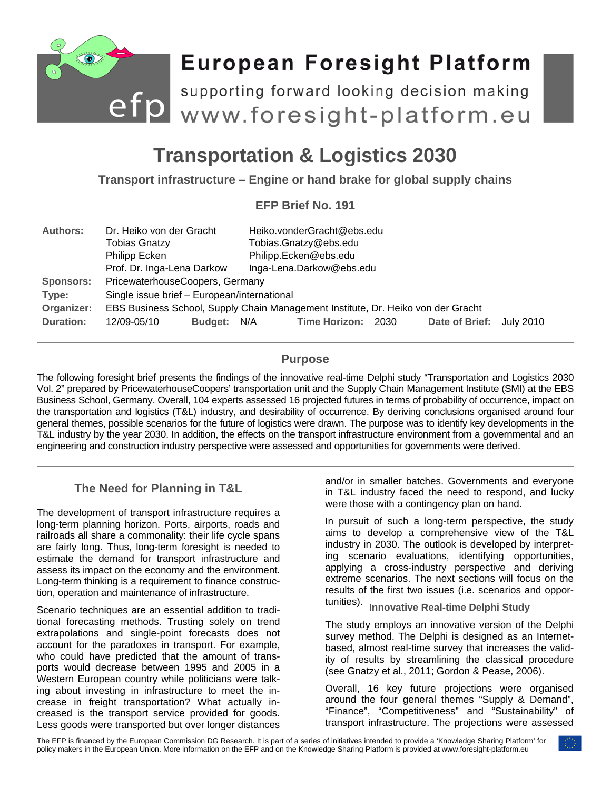

**Transport infrastructure – Engine or hand brake for global supply chains**

**EFP Brief No. 191**

| <b>Authors:</b>  | Dr. Heiko von der Gracht<br><b>Tobias Gnatzy</b><br>Philipp Ecken<br>Prof. Dr. Inga-Lena Darkow |             |  | Heiko.vonderGracht@ebs.edu<br>Tobias.Gnatzy@ebs.edu<br>Philipp.Ecken@ebs.edu<br>Inga-Lena.Darkow@ebs.edu |      |                |           |
|------------------|-------------------------------------------------------------------------------------------------|-------------|--|----------------------------------------------------------------------------------------------------------|------|----------------|-----------|
| <b>Sponsors:</b> | PricewaterhouseCoopers, Germany                                                                 |             |  |                                                                                                          |      |                |           |
| Type:            | Single issue brief - European/international                                                     |             |  |                                                                                                          |      |                |           |
| Organizer:       | EBS Business School, Supply Chain Management Institute, Dr. Heiko von der Gracht                |             |  |                                                                                                          |      |                |           |
| <b>Duration:</b> | 12/09-05/10                                                                                     | Budget: N/A |  | <b>Time Horizon:</b>                                                                                     | 2030 | Date of Brief: | July 2010 |

# **Purpose**

The following foresight brief presents the findings of the innovative real-time Delphi study "Transportation and Logistics 2030 Vol. 2" prepared by PricewaterhouseCoopers' transportation unit and the Supply Chain Management Institute (SMI) at the EBS Business School, Germany. Overall, 104 experts assessed 16 projected futures in terms of probability of occurrence, impact on the transportation and logistics (T&L) industry, and desirability of occurrence. By deriving conclusions organised around four general themes, possible scenarios for the future of logistics were drawn. The purpose was to identify key developments in the T&L industry by the year 2030. In addition, the effects on the transport infrastructure environment from a governmental and an engineering and construction industry perspective were assessed and opportunities for governments were derived.

# **The Need for Planning in T&L**

The development of transport infrastructure requires a long-term planning horizon. Ports, airports, roads and railroads all share a commonality: their life cycle spans are fairly long. Thus, long-term foresight is needed to estimate the demand for transport infrastructure and assess its impact on the economy and the environment. Long-term thinking is a requirement to finance construction, operation and maintenance of infrastructure.

Scenario techniques are an essential addition to traditional forecasting methods. Trusting solely on trend extrapolations and single-point forecasts does not account for the paradoxes in transport. For example, who could have predicted that the amount of transports would decrease between 1995 and 2005 in a Western European country while politicians were talking about investing in infrastructure to meet the increase in freight transportation? What actually increased is the transport service provided for goods. Less goods were transported but over longer distances and/or in smaller batches. Governments and everyone in T&L industry faced the need to respond, and lucky were those with a contingency plan on hand.

In pursuit of such a long-term perspective, the study aims to develop a comprehensive view of the T&L industry in 2030. The outlook is developed by interpreting scenario evaluations, identifying opportunities, applying a cross-industry perspective and deriving extreme scenarios. The next sections will focus on the results of the first two issues (i.e. scenarios and oppor-

tunities). **Innovative Real-time Delphi Study**

The study employs an innovative version of the Delphi survey method. The Delphi is designed as an Internetbased, almost real-time survey that increases the validity of results by streamlining the classical procedure (see Gnatzy et al., 2011; Gordon & Pease, 2006).

Overall, 16 key future projections were organised around the four general themes "Supply & Demand", "Finance", "Competitiveness" and "Sustainability" of transport infrastructure. The projections were assessed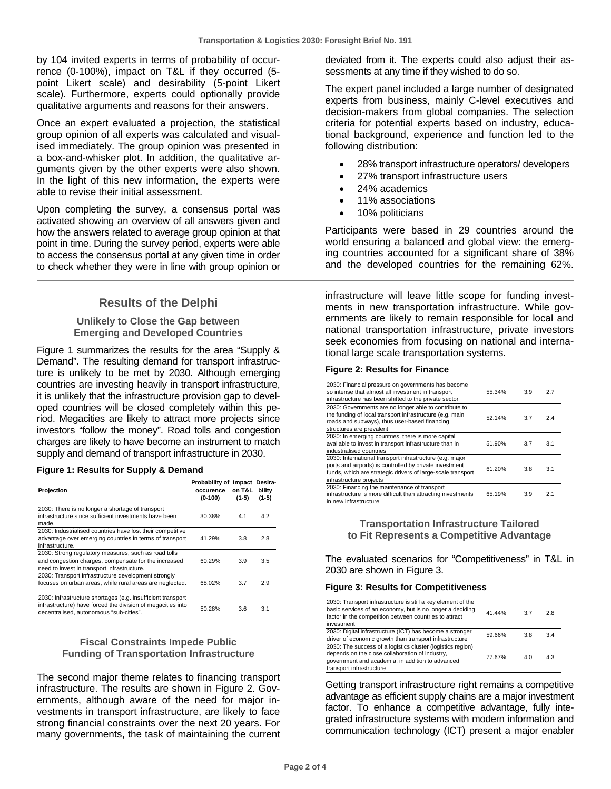by 104 invited experts in terms of probability of occurrence (0-100%), impact on T&L if they occurred (5 point Likert scale) and desirability (5-point Likert scale). Furthermore, experts could optionally provide qualitative arguments and reasons for their answers.

Once an expert evaluated a projection, the statistical group opinion of all experts was calculated and visualised immediately. The group opinion was presented in a box-and-whisker plot. In addition, the qualitative arguments given by the other experts were also shown. In the light of this new information, the experts were able to revise their initial assessment.

Upon completing the survey, a consensus portal was activated showing an overview of all answers given and how the answers related to average group opinion at that point in time. During the survey period, experts were able to access the consensus portal at any given time in order to check whether they were in line with group opinion or

# **Results of the Delphi**

**Unlikely to Close the Gap between Emerging and Developed Countries**

[Figure 1](#page-1-0) summarizes the results for the area "Supply & Demand". The resulting demand for transport infrastructure is unlikely to be met by 2030. Although emerging countries are investing heavily in transport infrastructure, it is unlikely that the infrastructure provision gap to developed countries will be closed completely within this period. Megacities are likely to attract more projects since investors "follow the money". Road tolls and congestion charges are likely to have become an instrument to match supply and demand of transport infrastructure in 2030.

#### <span id="page-1-0"></span>**Figure 1: Results for Supply & Demand**

| Projection                                                                                                                                                            | Probability of Impact<br>occurence<br>$(0-100)$ | on T&L<br>$(1-5)$ | Desira-<br>bility<br>$(1-5)$ |
|-----------------------------------------------------------------------------------------------------------------------------------------------------------------------|-------------------------------------------------|-------------------|------------------------------|
| 2030: There is no longer a shortage of transport<br>infrastructure since sufficient investments have been<br>made.                                                    | 30.38%                                          | 4.1               | 4.2                          |
| 2030: Industrialised countries have lost their competitive<br>advantage over emerging countries in terms of transport<br>infrastructure.                              | 41.29%                                          | 3.8               | 2.8                          |
| 2030: Strong regulatory measures, such as road tolls<br>and congestion charges, compensate for the increased<br>need to invest in transport infrastructure.           | 60.29%                                          | 3.9               | 3.5                          |
| 2030: Transport infrastructure development strongly<br>focuses on urban areas, while rural areas are neglected.                                                       | 68.02%                                          | 3.7               | 2.9                          |
| 2030: Infrastructure shortages (e.g. insufficient transport<br>infrastructure) have forced the division of megacities into<br>decentralised, autonomous "sub-cities". | 50.28%                                          | 3.6               | 3.1                          |

### **Fiscal Constraints Impede Public Funding of Transportation Infrastructure**

The second major theme relates to financing transport infrastructure. The results are shown in [Figure 2.](#page-1-1) Governments, although aware of the need for major investments in transport infrastructure, are likely to face strong financial constraints over the next 20 years. For many governments, the task of maintaining the current

deviated from it. The experts could also adjust their assessments at any time if they wished to do so.

The expert panel included a large number of designated experts from business, mainly C-level executives and decision-makers from global companies. The selection criteria for potential experts based on industry, educational background, experience and function led to the following distribution:

- 28% transport infrastructure operators/ developers
- 27% transport infrastructure users
- 24% academics
- 11% associations
- 10% politicians

Participants were based in 29 countries around the world ensuring a balanced and global view: the emerging countries accounted for a significant share of 38% and the developed countries for the remaining 62%.

infrastructure will leave little scope for funding investments in new transportation infrastructure. While governments are likely to remain responsible for local and national transportation infrastructure, private investors seek economies from focusing on national and international large scale transportation systems.

#### <span id="page-1-1"></span>**Figure 2: Results for Finance**

| 2030: Financial pressure on governments has become<br>so intense that almost all investment in transport<br>infrastructure has been shifted to the private sector                                             | 55.34% | 3.9 | 2.7 |
|---------------------------------------------------------------------------------------------------------------------------------------------------------------------------------------------------------------|--------|-----|-----|
| 2030: Governments are no longer able to contribute to<br>the funding of local transport infrastructure (e.g. main<br>roads and subways), thus user-based financing<br>structures are prevalent                | 52.14% | 3.7 | 24  |
| 2030: In emerging countries, there is more capital<br>available to invest in transport infrastructure than in<br>industrialised countries                                                                     | 51.90% | 3.7 | 3.1 |
| 2030: International transport infrastructure (e.g. major<br>ports and airports) is controlled by private investment<br>funds, which are strategic drivers of large-scale transport<br>infrastructure projects | 61.20% | 3.8 | 3.1 |
| 2030: Financing the maintenance of transport<br>infrastructure is more difficult than attracting investments<br>in new infrastructure                                                                         | 65.19% | 3.9 | 2.1 |

#### **Transportation Infrastructure Tailored to Fit Represents a Competitive Advantage**

The evaluated scenarios for "Competitiveness" in T&L in 2030 are shown in [Figure 3.](#page-1-2)

#### <span id="page-1-2"></span>**Figure 3: Results for Competitiveness**

| 2030: Transport infrastructure is still a key element of the<br>basic services of an economy, but is no longer a deciding<br>factor in the competition between countries to attract<br>investment | 41.44% | 37  | 2.8 |
|---------------------------------------------------------------------------------------------------------------------------------------------------------------------------------------------------|--------|-----|-----|
| 2030: Digital infrastructure (ICT) has become a stronger<br>driver of economic growth than transport infrastructure                                                                               | 59.66% | 3.8 | 34  |
| 2030: The success of a logistics cluster (logistics region)<br>depends on the close collaboration of industry,<br>government and academia, in addition to advanced<br>transport infrastructure    | 77.67% | 4 N | 4.3 |

Getting transport infrastructure right remains a competitive advantage as efficient supply chains are a major investment factor. To enhance a competitive advantage, fully integrated infrastructure systems with modern information and communication technology (ICT) present a major enabler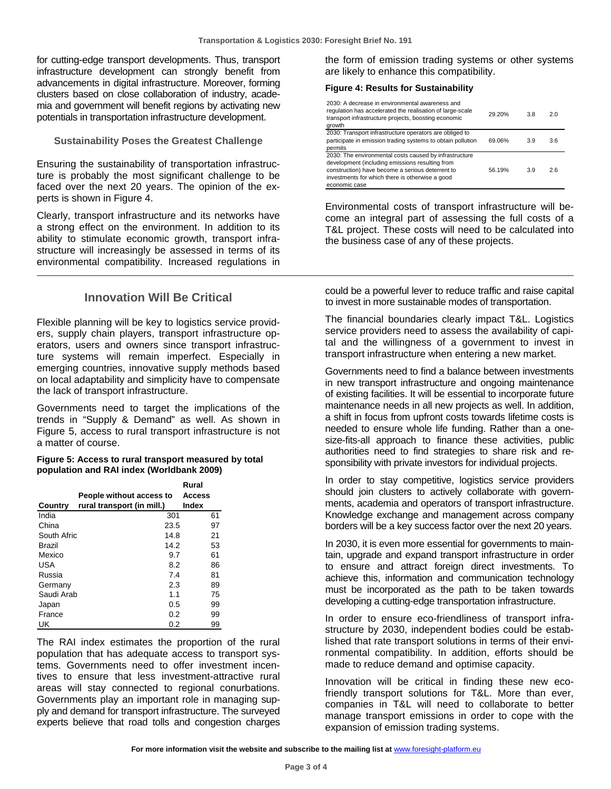for cutting-edge transport developments. Thus, transport infrastructure development can strongly benefit from advancements in digital infrastructure. Moreover, forming clusters based on close collaboration of industry, academia and government will benefit regions by activating new potentials in transportation infrastructure development.

## **Sustainability Poses the Greatest Challenge**

Ensuring the sustainability of transportation infrastructure is probably the most significant challenge to be faced over the next 20 years. The opinion of the experts is shown in [Figure 4.](#page-2-0)

Clearly, transport infrastructure and its networks have a strong effect on the environment. In addition to its ability to stimulate economic growth, transport infrastructure will increasingly be assessed in terms of its environmental compatibility. Increased regulations in

## **Innovation Will Be Critical**

Flexible planning will be key to logistics service providers, supply chain players, transport infrastructure operators, users and owners since transport infrastructure systems will remain imperfect. Especially in emerging countries, innovative supply methods based on local adaptability and simplicity have to compensate the lack of transport infrastructure.

Governments need to target the implications of the trends in "Supply & Demand" as well. As shown in [Figure 5,](#page-2-1) access to rural transport infrastructure is not a matter of course.

### <span id="page-2-1"></span>**Figure 5: Access to rural transport measured by total population and RAI index (Worldbank 2009)**

|             |                            | Rural  |
|-------------|----------------------------|--------|
|             | People without access to   | Access |
| Country     | rural transport (in mill.) | Index  |
| India       | 301                        | 61     |
| China       | 23.5                       | 97     |
| South Afric | 14.8                       | 21     |
| Brazil      | 14.2                       | 53     |
| Mexico      | 9.7                        | 61     |
| USA         | 8.2                        | 86     |
| Russia      | 7.4                        | 81     |
| Germany     | 2.3                        | 89     |
| Saudi Arab  | 1.1                        | 75     |
| Japan       | 0.5                        | 99     |
| France      | 0.2                        | 99     |
| UK          | 0.2                        | 99     |

The RAI index estimates the proportion of the rural population that has adequate access to transport systems. Governments need to offer investment incentives to ensure that less investment-attractive rural areas will stay connected to regional conurbations. Governments play an important role in managing supply and demand for transport infrastructure. The surveyed experts believe that road tolls and congestion charges the form of emission trading systems or other systems are likely to enhance this compatibility.

#### <span id="page-2-0"></span>**Figure 4: Results for Sustainability**

| 2030: A decrease in environmental awareness and<br>regulation has accelerated the realisation of large-scale<br>transport infrastructure projects, boosting economic<br>growth                                   | 29.20% | 3.8 | 2.0 |
|------------------------------------------------------------------------------------------------------------------------------------------------------------------------------------------------------------------|--------|-----|-----|
| 2030: Transport infrastructure operators are obliged to<br>participate in emission trading systems to obtain pollution<br>permits                                                                                | 69.06% | 3.9 | 3.6 |
| 2030: The environmental costs caused by infrastructure<br>development (including emissions resulting from<br>construction) have become a serious deterrent to<br>investments for which there is otherwise a good | 56.19% | 3.9 | 2.6 |
| economic case                                                                                                                                                                                                    |        |     |     |

Environmental costs of transport infrastructure will become an integral part of assessing the full costs of a T&L project. These costs will need to be calculated into the business case of any of these projects.

could be a powerful lever to reduce traffic and raise capital to invest in more sustainable modes of transportation.

The financial boundaries clearly impact T&L. Logistics service providers need to assess the availability of capital and the willingness of a government to invest in transport infrastructure when entering a new market.

Governments need to find a balance between investments in new transport infrastructure and ongoing maintenance of existing facilities. It will be essential to incorporate future maintenance needs in all new projects as well. In addition, a shift in focus from upfront costs towards lifetime costs is needed to ensure whole life funding. Rather than a onesize-fits-all approach to finance these activities, public authorities need to find strategies to share risk and responsibility with private investors for individual projects.

In order to stay competitive, logistics service providers should join clusters to actively collaborate with governments, academia and operators of transport infrastructure. Knowledge exchange and management across company borders will be a key success factor over the next 20 years.

In 2030, it is even more essential for governments to maintain, upgrade and expand transport infrastructure in order to ensure and attract foreign direct investments. To achieve this, information and communication technology must be incorporated as the path to be taken towards developing a cutting-edge transportation infrastructure.

In order to ensure eco-friendliness of transport infrastructure by 2030, independent bodies could be established that rate transport solutions in terms of their environmental compatibility. In addition, efforts should be made to reduce demand and optimise capacity.

Innovation will be critical in finding these new ecofriendly transport solutions for T&L. More than ever, companies in T&L will need to collaborate to better manage transport emissions in order to cope with the expansion of emission trading systems.